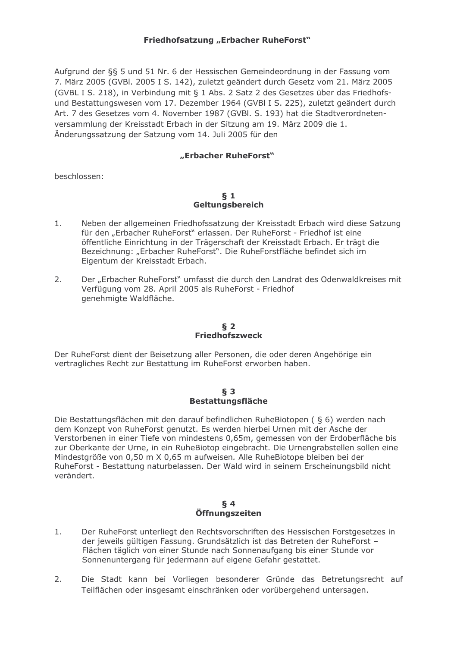## Friedhofsatzung "Erbacher RuheForst"

Aufgrund der §§ 5 und 51 Nr. 6 der Hessischen Gemeindeordnung in der Fassung vom 7. März 2005 (GVBI, 2005 I S, 142), zuletzt geändert durch Gesetz vom 21. März 2005 (GVBL I S. 218), in Verbindung mit § 1 Abs. 2 Satz 2 des Gesetzes über das Friedhofsund Bestattungswesen vom 17. Dezember 1964 (GVBI I S. 225), zuletzt geändert durch Art. 7 des Gesetzes vom 4. November 1987 (GVBI. S. 193) hat die Stadtverordnetenversammlung der Kreisstadt Erbach in der Sitzung am 19. März 2009 die 1. Änderungssatzung der Satzung vom 14. Juli 2005 für den

# "Erbacher RuheForst"

beschlossen:

## $\delta$  1 Geltungsbereich

- Neben der allgemeinen Friedhofssatzung der Kreisstadt Erbach wird diese Satzung  $1.$ für den "Erbacher RuheForst" erlassen. Der RuheForst - Friedhof ist eine öffentliche Einrichtung in der Trägerschaft der Kreisstadt Erbach. Er trägt die Bezeichnung: "Erbacher RuheForst". Die RuheForstfläche befindet sich im Eigentum der Kreisstadt Erbach.
- $2.$ Der "Erbacher RuheForst" umfasst die durch den Landrat des Odenwaldkreises mit Verfügung vom 28. April 2005 als RuheForst - Friedhof genehmigte Waldfläche.

# $\delta$  2 **Friedhofszweck**

Der RuheForst dient der Beisetzung aller Personen, die oder deren Angehörige ein vertragliches Recht zur Bestattung im RuheForst erworben haben.

#### $\S$  3 **Bestattungsfläche**

Die Bestattungsflächen mit den darauf befindlichen RuheBiotopen ( § 6) werden nach dem Konzept von RuheForst genutzt. Es werden hierbei Urnen mit der Asche der Verstorbenen in einer Tiefe von mindestens 0,65m, gemessen von der Erdoberfläche bis zur Oberkante der Urne, in ein RuheBiotop eingebracht. Die Urnengrabstellen sollen eine Mindestgröße von 0,50 m X 0,65 m aufweisen. Alle RuheBiotope bleiben bei der RuheForst - Bestattung naturbelassen. Der Wald wird in seinem Erscheinungsbild nicht verändert.

## $\S 4$ Öffnungszeiten

- Der RuheForst unterliegt den Rechtsvorschriften des Hessischen Forstgesetzes in  $1.$ der jeweils gültigen Fassung. Grundsätzlich ist das Betreten der RuheForst -Flächen täglich von einer Stunde nach Sonnenaufgang bis einer Stunde vor Sonnenuntergang für jedermann auf eigene Gefahr gestattet.
- $2.$ Die Stadt kann bei Vorliegen besonderer Gründe das Betretungsrecht auf Teilflächen oder insgesamt einschränken oder vorübergehend untersagen.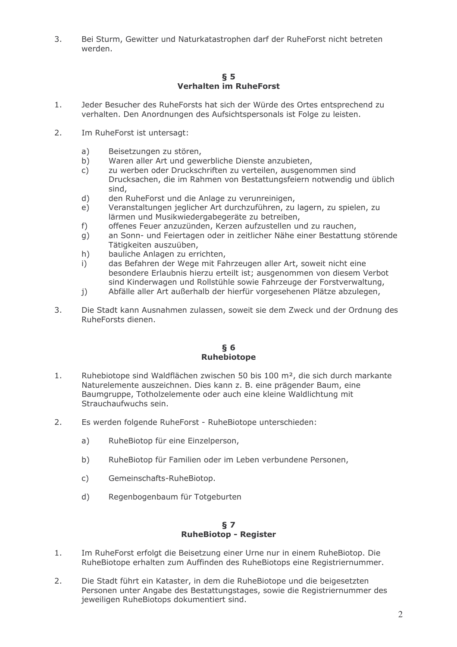$\overline{3}$ . Bei Sturm, Gewitter und Naturkatastrophen darf der RuheForst nicht betreten werden.

## $\S$  5 Verhalten im RuheForst

- Jeder Besucher des RuheForsts hat sich der Würde des Ortes entsprechend zu  $1.$ verhalten. Den Anordnungen des Aufsichtspersonals ist Folge zu leisten.
- $2.$ Im RuheForst ist untersagt:
	- Beisetzungen zu stören, a)
	- $\overline{b}$ ) Waren aller Art und gewerbliche Dienste anzubieten,
	- zu werben oder Druckschriften zu verteilen, ausgenommen sind  $\mathsf{C}$ ) Drucksachen, die im Rahmen von Bestattungsfeiern notwendig und üblich sind,
	- $d)$ den RuheForst und die Anlage zu verunreinigen,
	- $e)$ Veranstaltungen jeglicher Art durchzuführen, zu lagern, zu spielen, zu lärmen und Musikwiedergabegeräte zu betreiben,
	- offenes Feuer anzuzünden, Kerzen aufzustellen und zu rauchen,  $f$ )
	- an Sonn- und Feiertagen oder in zeitlicher Nähe einer Bestattung störende  $g)$ Tätigkeiten auszuüben,
	- $h)$ bauliche Anlagen zu errichten,
	- das Befahren der Wege mit Fahrzeugen aller Art, soweit nicht eine  $i)$ besondere Erlaubnis hierzu erteilt ist; ausgenommen von diesem Verbot sind Kinderwagen und Rollstühle sowie Fahrzeuge der Forstverwaltung.
	- Abfälle aller Art außerhalb der hierfür vorgesehenen Plätze abzulegen,  $\mathbf{i}$
- $3<sub>1</sub>$ Die Stadt kann Ausnahmen zulassen, soweit sie dem Zweck und der Ordnung des RuheForsts dienen.

## $\S$  6 **Ruhebiotope**

- $1<sup>1</sup>$ Ruhebiotope sind Waldflächen zwischen 50 bis 100 m<sup>2</sup>, die sich durch markante Naturelemente auszeichnen. Dies kann z. B. eine prägender Baum, eine Baumgruppe, Totholzelemente oder auch eine kleine Waldlichtung mit Strauchaufwuchs sein.
- $2.$ Es werden folgende RuheForst - RuheBiotope unterschieden:
	- $a)$ RuheBiotop für eine Einzelperson,
	- $b)$ RuheBiotop für Familien oder im Leben verbundene Personen,
	- $\mathsf{C}$ ) Gemeinschafts-RuheBiotop.
	- $d)$ Regenbogenbaum für Totgeburten

## $S<sub>7</sub>$ **RuheBiotop - Register**

- $1<sub>1</sub>$ Im RuheForst erfolgt die Beisetzung einer Urne nur in einem RuheBiotop. Die RuheBiotope erhalten zum Auffinden des RuheBiotops eine Registriernummer.
- $2.$ Die Stadt führt ein Kataster, in dem die RuheBiotope und die beigesetzten Personen unter Angabe des Bestattungstages, sowie die Registriernummer des jeweiligen RuheBiotops dokumentiert sind.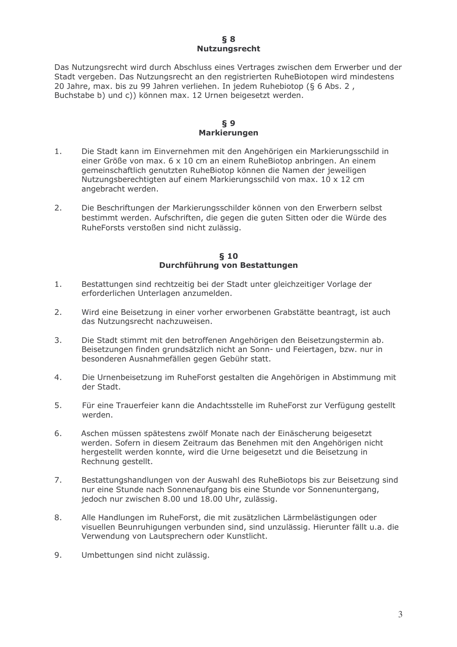#### $\delta$  8 **Nutzungsrecht**

Das Nutzungsrecht wird durch Abschluss eines Vertrages zwischen dem Erwerber und der Stadt vergeben. Das Nutzungsrecht an den registrierten RuheBiotopen wird mindestens 20 Jahre, max. bis zu 99 Jahren verliehen. In jedem Ruhebiotop (§ 6 Abs. 2, Buchstabe b) und c)) können max. 12 Urnen beigesetzt werden.

## $§ 9$ **Markierungen**

- Die Stadt kann im Einvernehmen mit den Angehörigen ein Markierungsschild in  $1<sub>1</sub>$ einer Größe von max. 6 x 10 cm an einem RuheBiotop anbringen. An einem gemeinschaftlich genutzten RuheBiotop können die Namen der jeweiligen Nutzungsberechtigten auf einem Markierungsschild von max. 10 x 12 cm angebracht werden.
- $\overline{2}$ Die Beschriftungen der Markierungsschilder können von den Erwerbern selbst bestimmt werden. Aufschriften, die gegen die guten Sitten oder die Würde des RuheForsts verstoßen sind nicht zulässig.

# $$10$ Durchführung von Bestattungen

- $1.$ Bestattungen sind rechtzeitig bei der Stadt unter gleichzeitiger Vorlage der erforderlichen Unterlagen anzumelden.
- $2.$ Wird eine Beisetzung in einer vorher erworbenen Grabstätte beantragt, ist auch das Nutzungsrecht nachzuweisen.
- $3<sub>1</sub>$ Die Stadt stimmt mit den betroffenen Angehörigen den Beisetzungstermin ab. Beisetzungen finden grundsätzlich nicht an Sonn- und Feiertagen, bzw. nur in besonderen Ausnahmefällen gegen Gebühr statt.
- $4<sub>1</sub>$ Die Urnenbeisetzung im RuheForst gestalten die Angehörigen in Abstimmung mit der Stadt
- 5. Für eine Trauerfeier kann die Andachtsstelle im RuheForst zur Verfügung gestellt werden.
- 6. Aschen müssen spätestens zwölf Monate nach der Einäscherung beigesetzt werden. Sofern in diesem Zeitraum das Benehmen mit den Angehörigen nicht hergestellt werden konnte, wird die Urne beigesetzt und die Beisetzung in Rechnung gestellt.
- $7<sup>1</sup>$ Bestattungshandlungen von der Auswahl des RuheBiotops bis zur Beisetzung sind nur eine Stunde nach Sonnenaufgang bis eine Stunde vor Sonnenuntergang, jedoch nur zwischen 8.00 und 18.00 Uhr, zulässig.
- 8. Alle Handlungen im RuheForst, die mit zusätzlichen Lärmbelästigungen oder visuellen Beunruhigungen verbunden sind, sind unzulässig. Hierunter fällt u.a. die Verwendung von Lautsprechern oder Kunstlicht.
- $Q_{\perp}$ Umbettungen sind nicht zulässig.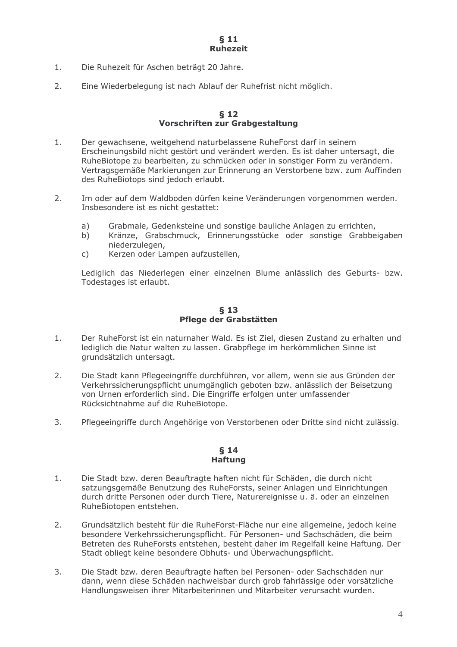- Die Ruhezeit für Aschen beträgt 20 Jahre.  $1<sub>1</sub>$
- $2.$ Eine Wiederbelegung ist nach Ablauf der Ruhefrist nicht möglich.

## $$12$ Vorschriften zur Grabgestaltung

- Der gewachsene, weitgehend naturbelassene RuheForst darf in seinem  $1.$ Erscheinungsbild nicht gestört und verändert werden. Es ist daher untersagt, die RuheBiotope zu bearbeiten, zu schmücken oder in sonstiger Form zu verändern. Vertragsgemäße Markierungen zur Erinnerung an Verstorbene bzw. zum Auffinden des RuheBiotops sind jedoch erlaubt.
- $2.$ Im oder auf dem Waldboden dürfen keine Veränderungen vorgenommen werden. Insbesondere ist es nicht gestattet:
	- Grabmale, Gedenksteine und sonstige bauliche Anlagen zu errichten,  $a)$
	- $b)$ Kränze, Grabschmuck, Erinnerungsstücke oder sonstige Grabbeigaben niederzulegen,
	- Kerzen oder Lampen aufzustellen,  $\mathsf{C}$ )

Lediglich das Niederlegen einer einzelnen Blume anlässlich des Geburts- bzw. Todestages ist erlaubt.

## $\{5, 13\}$ Pflege der Grabstätten

- $1.$ Der RuheForst ist ein naturnaher Wald. Es ist Ziel, diesen Zustand zu erhalten und lediglich die Natur walten zu lassen. Grabpflege im herkömmlichen Sinne ist grundsätzlich untersagt.
- Die Stadt kann Pflegeeingriffe durchführen, vor allem, wenn sie aus Gründen der  $2<sub>1</sub>$ Verkehrssicherungspflicht unumgänglich geboten bzw. anlässlich der Beisetzung von Urnen erforderlich sind. Die Eingriffe erfolgen unter umfassender Rücksichtnahme auf die RuheBiotope.
- $3<sub>1</sub>$ Pflegeeingriffe durch Angehörige von Verstorbenen oder Dritte sind nicht zulässig.

# $§$  14 **Haftung**

- $1.$ Die Stadt bzw. deren Beauftragte haften nicht für Schäden, die durch nicht satzungsgemäße Benutzung des RuheForsts, seiner Anlagen und Einrichtungen durch dritte Personen oder durch Tiere, Naturereignisse u. ä. oder an einzelnen RuheBiotopen entstehen.
- $2.$ Grundsätzlich besteht für die RuheForst-Fläche nur eine allgemeine, jedoch keine besondere Verkehrssicherungspflicht. Für Personen- und Sachschäden, die beim Betreten des RuheForsts entstehen, besteht daher im Regelfall keine Haftung. Der Stadt obliegt keine besondere Obhuts- und Überwachungspflicht.
- Die Stadt bzw. deren Beauftragte haften bei Personen- oder Sachschäden nur  $3.$ dann, wenn diese Schäden nachweisbar durch grob fahrlässige oder vorsätzliche Handlungsweisen ihrer Mitarbeiterinnen und Mitarbeiter verursacht wurden.